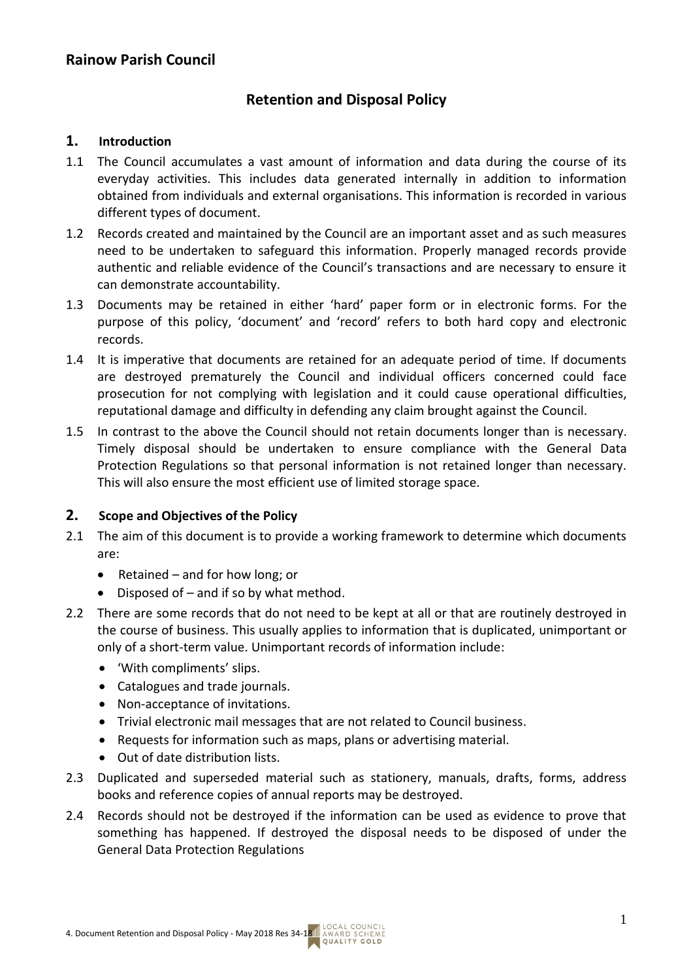# **Retention and Disposal Policy**

#### **1. Introduction**

- 1.1 The Council accumulates a vast amount of information and data during the course of its everyday activities. This includes data generated internally in addition to information obtained from individuals and external organisations. This information is recorded in various different types of document.
- 1.2 Records created and maintained by the Council are an important asset and as such measures need to be undertaken to safeguard this information. Properly managed records provide authentic and reliable evidence of the Council's transactions and are necessary to ensure it can demonstrate accountability.
- 1.3 Documents may be retained in either 'hard' paper form or in electronic forms. For the purpose of this policy, 'document' and 'record' refers to both hard copy and electronic records.
- 1.4 It is imperative that documents are retained for an adequate period of time. If documents are destroyed prematurely the Council and individual officers concerned could face prosecution for not complying with legislation and it could cause operational difficulties, reputational damage and difficulty in defending any claim brought against the Council.
- 1.5 In contrast to the above the Council should not retain documents longer than is necessary. Timely disposal should be undertaken to ensure compliance with the General Data Protection Regulations so that personal information is not retained longer than necessary. This will also ensure the most efficient use of limited storage space.

### **2. Scope and Objectives of the Policy**

- 2.1 The aim of this document is to provide a working framework to determine which documents are:
	- Retained and for how long; or
	- Disposed of and if so by what method.
- 2.2 There are some records that do not need to be kept at all or that are routinely destroyed in the course of business. This usually applies to information that is duplicated, unimportant or only of a short-term value. Unimportant records of information include:
	- 'With compliments' slips.
	- Catalogues and trade journals.
	- Non-acceptance of invitations.
	- Trivial electronic mail messages that are not related to Council business.
	- Requests for information such as maps, plans or advertising material.
	- Out of date distribution lists.
- 2.3 Duplicated and superseded material such as stationery, manuals, drafts, forms, address books and reference copies of annual reports may be destroyed.
- 2.4 Records should not be destroyed if the information can be used as evidence to prove that something has happened. If destroyed the disposal needs to be disposed of under the General Data Protection Regulations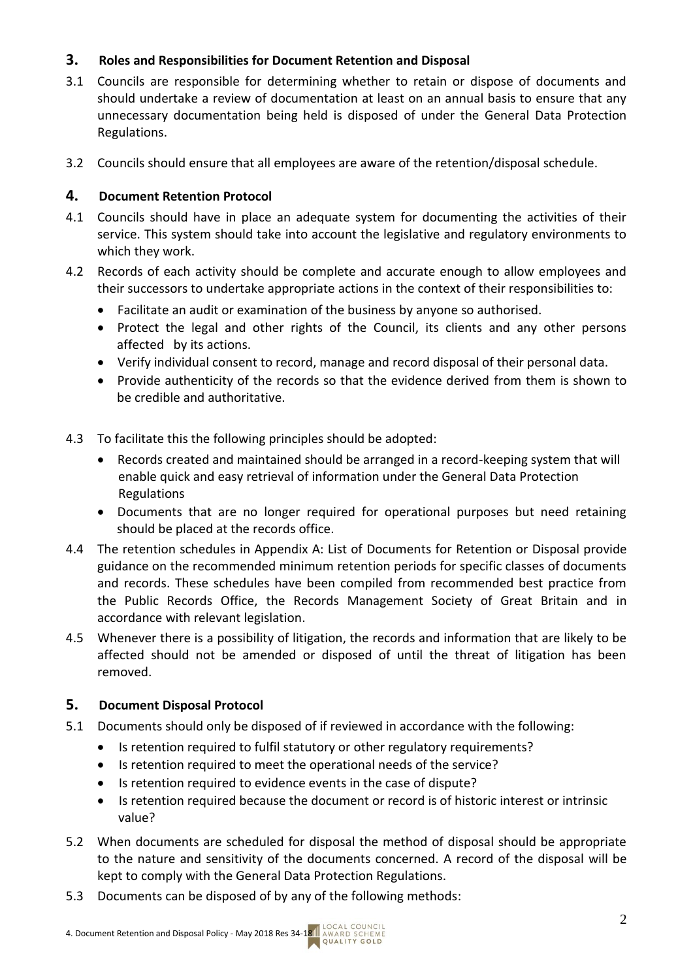## **3. Roles and Responsibilities for Document Retention and Disposal**

- 3.1 Councils are responsible for determining whether to retain or dispose of documents and should undertake a review of documentation at least on an annual basis to ensure that any unnecessary documentation being held is disposed of under the General Data Protection Regulations.
- 3.2 Councils should ensure that all employees are aware of the retention/disposal schedule.

## **4. Document Retention Protocol**

- 4.1 Councils should have in place an adequate system for documenting the activities of their service. This system should take into account the legislative and regulatory environments to which they work.
- 4.2 Records of each activity should be complete and accurate enough to allow employees and their successors to undertake appropriate actions in the context of their responsibilities to:
	- Facilitate an audit or examination of the business by anyone so authorised.
	- Protect the legal and other rights of the Council, its clients and any other persons affected by its actions.
	- Verify individual consent to record, manage and record disposal of their personal data.
	- Provide authenticity of the records so that the evidence derived from them is shown to be credible and authoritative.
- 4.3 To facilitate this the following principles should be adopted:
	- Records created and maintained should be arranged in a record-keeping system that will enable quick and easy retrieval of information under the General Data Protection Regulations
	- Documents that are no longer required for operational purposes but need retaining should be placed at the records office.
- 4.4 The retention schedules in Appendix A: List of Documents for Retention or Disposal provide guidance on the recommended minimum retention periods for specific classes of documents and records. These schedules have been compiled from recommended best practice from the Public Records Office, the Records Management Society of Great Britain and in accordance with relevant legislation.
- 4.5 Whenever there is a possibility of litigation, the records and information that are likely to be affected should not be amended or disposed of until the threat of litigation has been removed.

### **5. Document Disposal Protocol**

- 5.1 Documents should only be disposed of if reviewed in accordance with the following:
	- Is retention required to fulfil statutory or other regulatory requirements?
	- Is retention required to meet the operational needs of the service?
	- Is retention required to evidence events in the case of dispute?
	- Is retention required because the document or record is of historic interest or intrinsic value?
- 5.2 When documents are scheduled for disposal the method of disposal should be appropriate to the nature and sensitivity of the documents concerned. A record of the disposal will be kept to comply with the General Data Protection Regulations.
- 5.3 Documents can be disposed of by any of the following methods: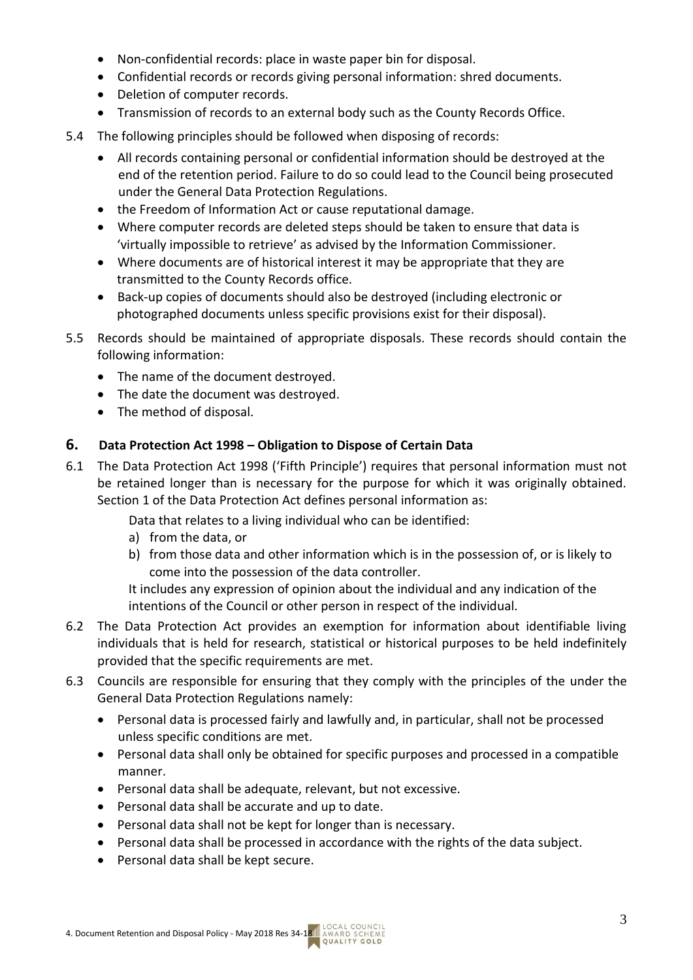- Non-confidential records: place in waste paper bin for disposal.
- Confidential records or records giving personal information: shred documents.
- Deletion of computer records.
- Transmission of records to an external body such as the County Records Office.
- 5.4 The following principles should be followed when disposing of records:
	- All records containing personal or confidential information should be destroyed at the end of the retention period. Failure to do so could lead to the Council being prosecuted under the General Data Protection Regulations.
	- the Freedom of Information Act or cause reputational damage.
	- Where computer records are deleted steps should be taken to ensure that data is 'virtually impossible to retrieve' as advised by the Information Commissioner.
	- Where documents are of historical interest it may be appropriate that they are transmitted to the County Records office.
	- Back-up copies of documents should also be destroyed (including electronic or photographed documents unless specific provisions exist for their disposal).
- 5.5 Records should be maintained of appropriate disposals. These records should contain the following information:
	- The name of the document destroyed.
	- The date the document was destroyed.
	- The method of disposal.

## **6. Data Protection Act 1998 – Obligation to Dispose of Certain Data**

6.1 The Data Protection Act 1998 ('Fifth Principle') requires that personal information must not be retained longer than is necessary for the purpose for which it was originally obtained. Section 1 of the Data Protection Act defines personal information as:

Data that relates to a living individual who can be identified:

- a) from the data, or
- b) from those data and other information which is in the possession of, or is likely to come into the possession of the data controller.

It includes any expression of opinion about the individual and any indication of the intentions of the Council or other person in respect of the individual.

- 6.2 The Data Protection Act provides an exemption for information about identifiable living individuals that is held for research, statistical or historical purposes to be held indefinitely provided that the specific requirements are met.
- 6.3 Councils are responsible for ensuring that they comply with the principles of the under the General Data Protection Regulations namely:
	- Personal data is processed fairly and lawfully and, in particular, shall not be processed unless specific conditions are met.
	- Personal data shall only be obtained for specific purposes and processed in a compatible manner.
	- Personal data shall be adequate, relevant, but not excessive.
	- Personal data shall be accurate and up to date.
	- Personal data shall not be kept for longer than is necessary.
	- Personal data shall be processed in accordance with the rights of the data subject.
	- Personal data shall be kept secure.